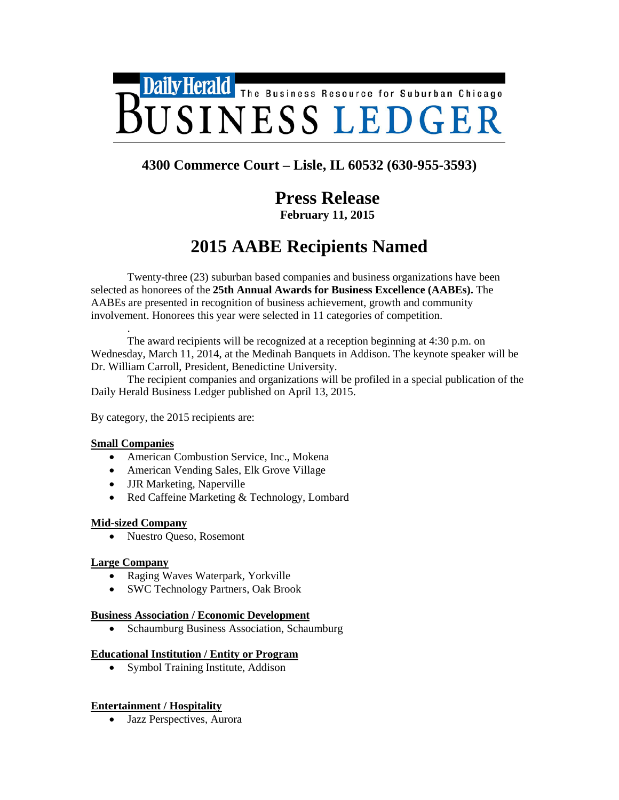

# **4300 Commerce Court – Lisle, IL 60532 (630-955-3593)**

# **Press Release**

**February 11, 2015**

# **2015 AABE Recipients Named**

Twenty-three (23) suburban based companies and business organizations have been selected as honorees of the **25th Annual Awards for Business Excellence (AABEs).** The AABEs are presented in recognition of business achievement, growth and community involvement. Honorees this year were selected in 11 categories of competition.

. The award recipients will be recognized at a reception beginning at 4:30 p.m. on Wednesday, March 11, 2014, at the Medinah Banquets in Addison. The keynote speaker will be Dr. William Carroll, President, Benedictine University.

The recipient companies and organizations will be profiled in a special publication of the Daily Herald Business Ledger published on April 13, 2015.

By category, the 2015 recipients are:

#### **Small Companies**

- American Combustion Service, Inc., Mokena
- American Vending Sales, Elk Grove Village
- JJR Marketing, Naperville
- Red Caffeine Marketing & Technology, Lombard

#### **Mid-sized Company**

• Nuestro Queso, Rosemont

#### **Large Company**

- Raging Waves Waterpark, Yorkville
- SWC Technology Partners, Oak Brook

#### **Business Association / Economic Development**

• Schaumburg Business Association, Schaumburg

#### **Educational Institution / Entity or Program**

• Symbol Training Institute, Addison

#### **Entertainment / Hospitality**

• Jazz Perspectives, Aurora